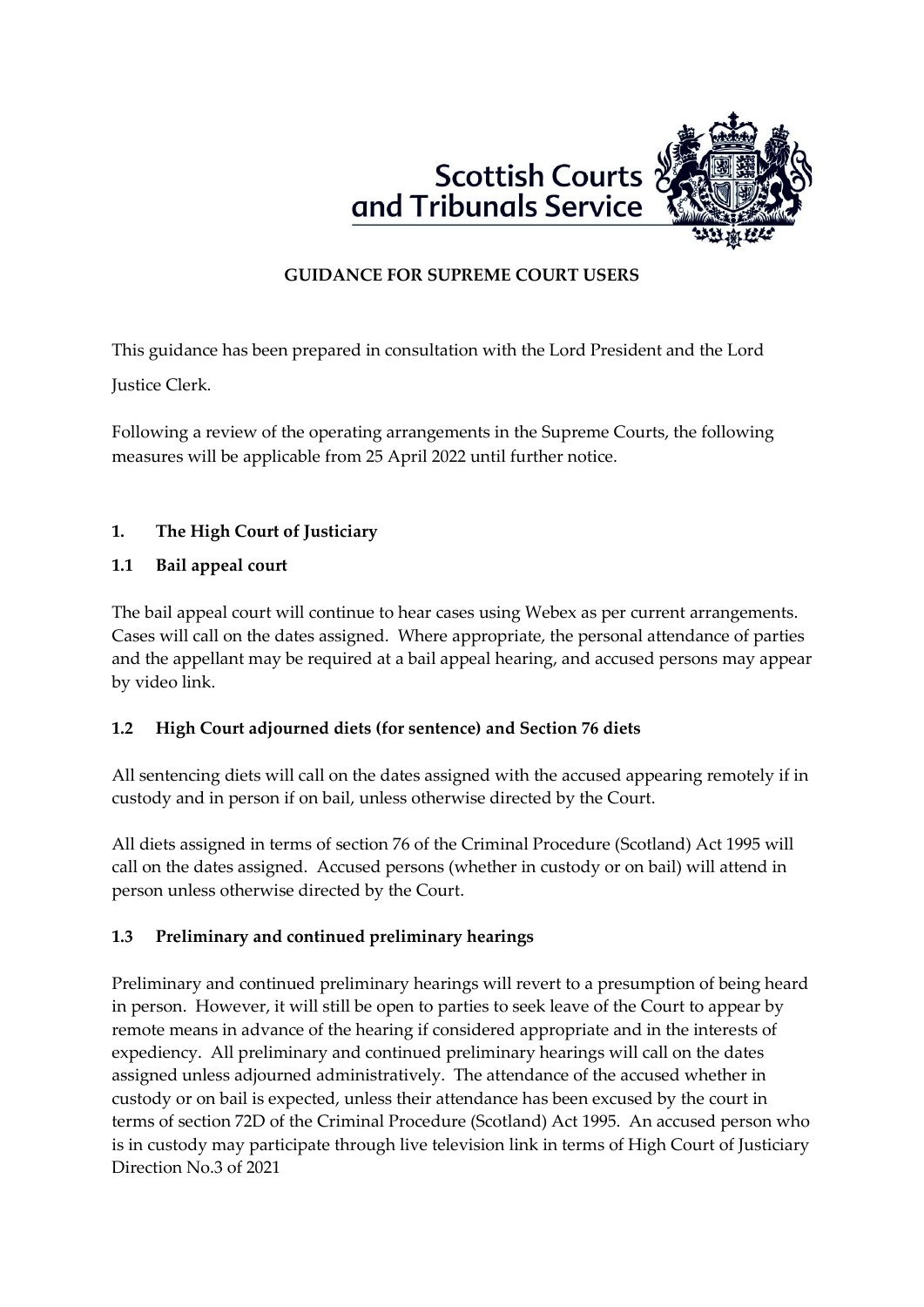



# **GUIDANCE FOR SUPREME COURT USERS**

This guidance has been prepared in consultation with the Lord President and the Lord

Justice Clerk.

Following a review of the operating arrangements in the Supreme Courts, the following measures will be applicable from 25 April 2022 until further notice.

# **1. The High Court of Justiciary**

## **1.1 Bail appeal court**

The bail appeal court will continue to hear cases using Webex as per current arrangements. Cases will call on the dates assigned. Where appropriate, the personal attendance of parties and the appellant may be required at a bail appeal hearing, and accused persons may appear by video link.

## **1.2 High Court adjourned diets (for sentence) and Section 76 diets**

All sentencing diets will call on the dates assigned with the accused appearing remotely if in custody and in person if on bail, unless otherwise directed by the Court.

All diets assigned in terms of section 76 of the Criminal Procedure (Scotland) Act 1995 will call on the dates assigned. Accused persons (whether in custody or on bail) will attend in person unless otherwise directed by the Court.

## **1.3 Preliminary and continued preliminary hearings**

Preliminary and continued preliminary hearings will revert to a presumption of being heard in person. However, it will still be open to parties to seek leave of the Court to appear by remote means in advance of the hearing if considered appropriate and in the interests of expediency. All preliminary and continued preliminary hearings will call on the dates assigned unless adjourned administratively. The attendance of the accused whether in custody or on bail is expected, unless their attendance has been excused by the court in terms of section 72D of the Criminal Procedure (Scotland) Act 1995. An accused person who is in custody may participate through live television link in terms of High Court of Justiciary Direction No.3 of 2021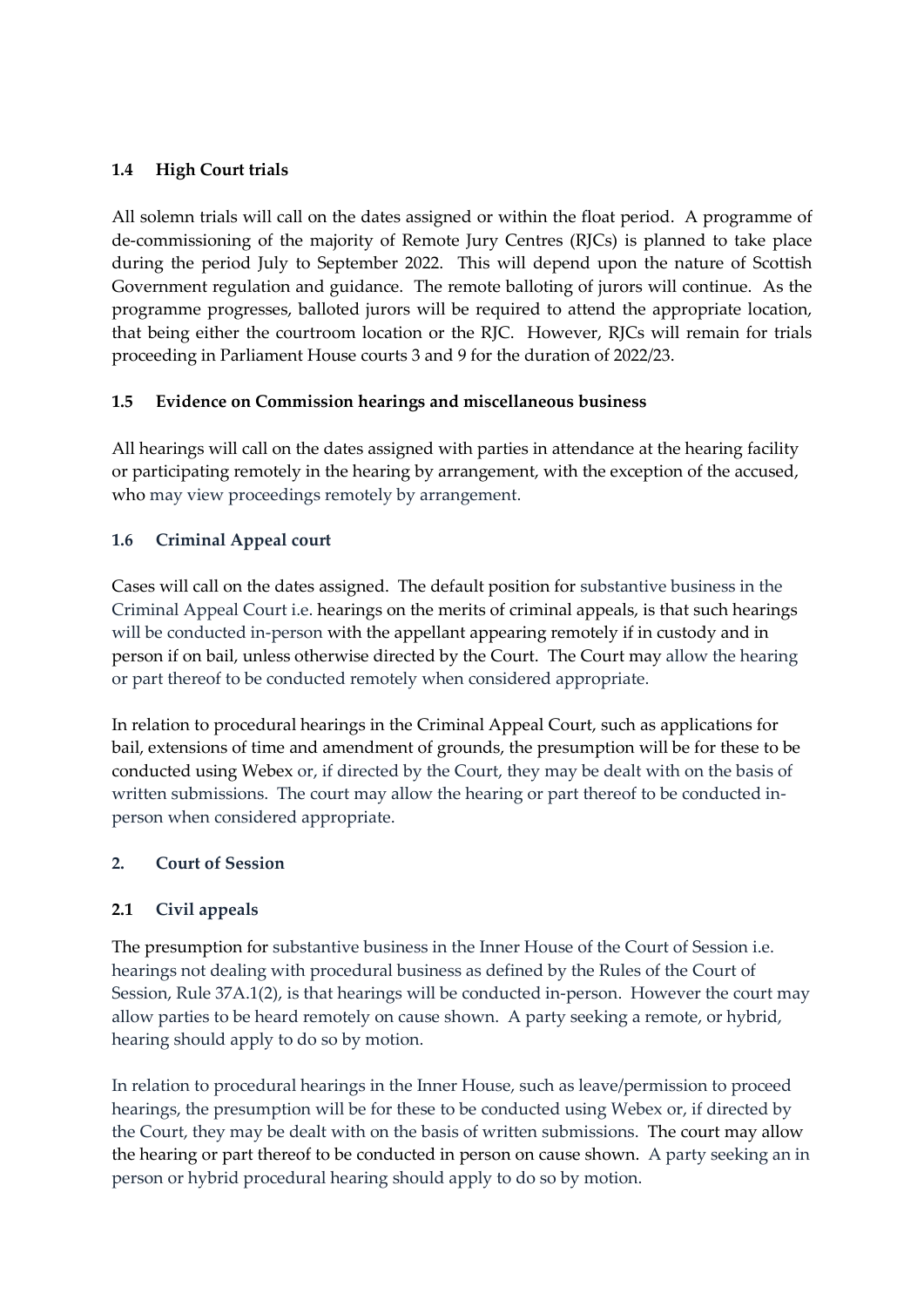#### **1.4 High Court trials**

All solemn trials will call on the dates assigned or within the float period. A programme of de-commissioning of the majority of Remote Jury Centres (RJCs) is planned to take place during the period July to September 2022. This will depend upon the nature of Scottish Government regulation and guidance. The remote balloting of jurors will continue. As the programme progresses, balloted jurors will be required to attend the appropriate location, that being either the courtroom location or the RJC. However, RJCs will remain for trials proceeding in Parliament House courts 3 and 9 for the duration of 2022/23.

### **1.5 Evidence on Commission hearings and miscellaneous business**

All hearings will call on the dates assigned with parties in attendance at the hearing facility or participating remotely in the hearing by arrangement, with the exception of the accused, who may view proceedings remotely by arrangement.

### **1.6 Criminal Appeal court**

Cases will call on the dates assigned. The default position for substantive business in the Criminal Appeal Court i.e. hearings on the merits of criminal appeals, is that such hearings will be conducted in-person with the appellant appearing remotely if in custody and in person if on bail, unless otherwise directed by the Court. The Court may allow the hearing or part thereof to be conducted remotely when considered appropriate.

In relation to procedural hearings in the Criminal Appeal Court, such as applications for bail, extensions of time and amendment of grounds, the presumption will be for these to be conducted using Webex or, if directed by the Court, they may be dealt with on the basis of written submissions. The court may allow the hearing or part thereof to be conducted inperson when considered appropriate.

#### **2. Court of Session**

## **2.1 Civil appeals**

The presumption for substantive business in the Inner House of the Court of Session i.e. hearings not dealing with procedural business as defined by the Rules of the Court of Session, Rule 37A.1(2), is that hearings will be conducted in-person. However the court may allow parties to be heard remotely on cause shown. A party seeking a remote, or hybrid, hearing should apply to do so by motion.

In relation to procedural hearings in the Inner House, such as leave/permission to proceed hearings, the presumption will be for these to be conducted using Webex or, if directed by the Court, they may be dealt with on the basis of written submissions. The court may allow the hearing or part thereof to be conducted in person on cause shown. A party seeking an in person or hybrid procedural hearing should apply to do so by motion.